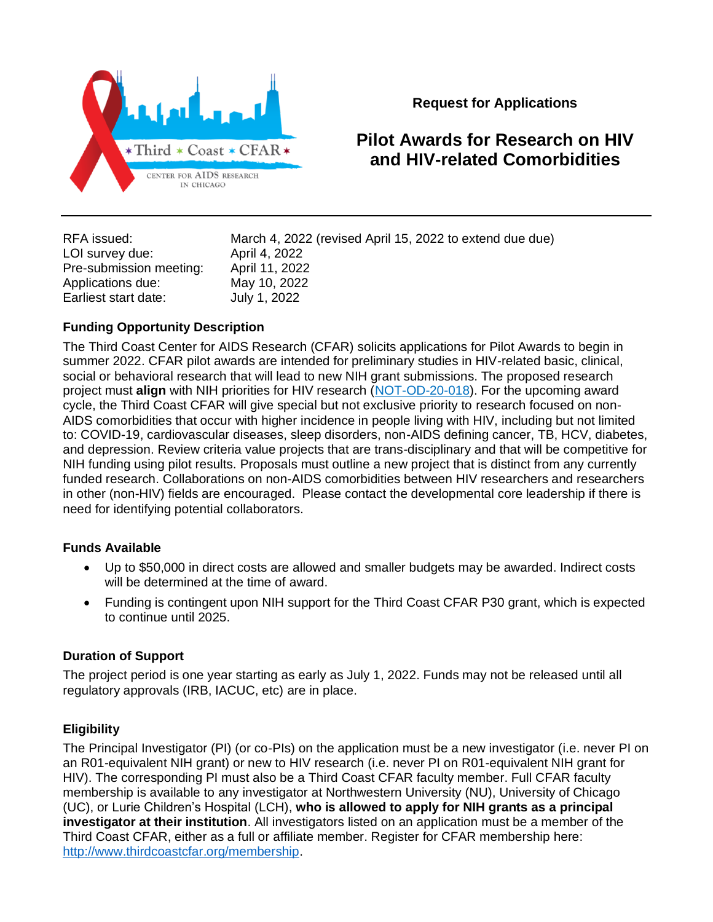

**Request for Applications**

# **Pilot Awards for Research on HIV and HIV-related Comorbidities**

| RFA issued:             | March 4, 2022 (revised April 15, 2022 to extend due due) |
|-------------------------|----------------------------------------------------------|
| LOI survey due:         | April 4, 2022                                            |
| Pre-submission meeting: | April 11, 2022                                           |
| Applications due:       | May 10, 2022                                             |
| Earliest start date:    | July 1, 2022                                             |

# **Funding Opportunity Description**

The Third Coast Center for AIDS Research (CFAR) solicits applications for Pilot Awards to begin in summer 2022. CFAR pilot awards are intended for preliminary studies in HIV-related basic, clinical, social or behavioral research that will lead to new NIH grant submissions. The proposed research project must **align** with NIH priorities for HIV research [\(NOT-OD-20-018\)](https://grants.nih.gov/grants/guide/notice-files/NOT-OD-20-018.html). For the upcoming award cycle, the Third Coast CFAR will give special but not exclusive priority to research focused on non-AIDS comorbidities that occur with higher incidence in people living with HIV, including but not limited to: COVID-19, cardiovascular diseases, sleep disorders, non-AIDS defining cancer, TB, HCV, diabetes, and depression. Review criteria value projects that are trans-disciplinary and that will be competitive for NIH funding using pilot results. Proposals must outline a new project that is distinct from any currently funded research. Collaborations on non-AIDS comorbidities between HIV researchers and researchers in other (non-HIV) fields are encouraged. Please contact the developmental core leadership if there is need for identifying potential collaborators.

# **Funds Available**

- Up to \$50,000 in direct costs are allowed and smaller budgets may be awarded. Indirect costs will be determined at the time of award.
- Funding is contingent upon NIH support for the Third Coast CFAR P30 grant, which is expected to continue until 2025.

## **Duration of Support**

The project period is one year starting as early as July 1, 2022. Funds may not be released until all regulatory approvals (IRB, IACUC, etc) are in place.

# **Eligibility**

The Principal Investigator (PI) (or co-PIs) on the application must be a new investigator (i.e. never PI on an R01-equivalent NIH grant) or new to HIV research (i.e. never PI on R01-equivalent NIH grant for HIV). The corresponding PI must also be a Third Coast CFAR faculty member. Full CFAR faculty membership is available to any investigator at Northwestern University (NU), University of Chicago (UC), or Lurie Children's Hospital (LCH), **who is allowed to apply for NIH grants as a principal investigator at their institution**. All investigators listed on an application must be a member of the Third Coast CFAR, either as a full or affiliate member. Register for CFAR membership here: [http://www.thirdcoastcfar.org/membership.](http://www.thirdcoastcfar.org/membership)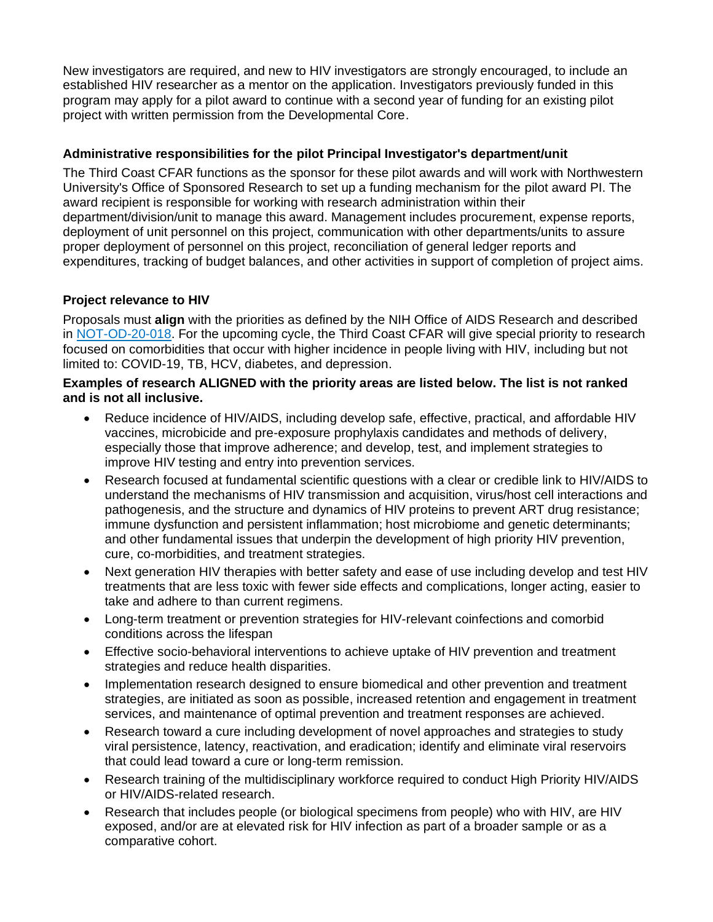New investigators are required, and new to HIV investigators are strongly encouraged, to include an established HIV researcher as a mentor on the application. Investigators previously funded in this program may apply for a pilot award to continue with a second year of funding for an existing pilot project with written permission from the Developmental Core.

## **Administrative responsibilities for the pilot Principal Investigator's department/unit**

The Third Coast CFAR functions as the sponsor for these pilot awards and will work with Northwestern University's Office of Sponsored Research to set up a funding mechanism for the pilot award PI. The award recipient is responsible for working with research administration within their department/division/unit to manage this award. Management includes procurement, expense reports, deployment of unit personnel on this project, communication with other departments/units to assure proper deployment of personnel on this project, reconciliation of general ledger reports and expenditures, tracking of budget balances, and other activities in support of completion of project aims.

# **Project relevance to HIV**

Proposals must **align** with the priorities as defined by the NIH Office of AIDS Research and described in [NOT-OD-20-018.](https://grants.nih.gov/grants/guide/notice-files/NOT-OD-20-018.html) For the upcoming cycle, the Third Coast CFAR will give special priority to research focused on comorbidities that occur with higher incidence in people living with HIV, including but not limited to: COVID-19, TB, HCV, diabetes, and depression.

#### **Examples of research ALIGNED with the priority areas are listed below. The list is not ranked and is not all inclusive.**

- Reduce incidence of HIV/AIDS, including develop safe, effective, practical, and affordable HIV vaccines, microbicide and pre-exposure prophylaxis candidates and methods of delivery, especially those that improve adherence; and develop, test, and implement strategies to improve HIV testing and entry into prevention services.
- Research focused at fundamental scientific questions with a clear or credible link to HIV/AIDS to understand the mechanisms of HIV transmission and acquisition, virus/host cell interactions and pathogenesis, and the structure and dynamics of HIV proteins to prevent ART drug resistance; immune dysfunction and persistent inflammation; host microbiome and genetic determinants; and other fundamental issues that underpin the development of high priority HIV prevention, cure, co-morbidities, and treatment strategies.
- Next generation HIV therapies with better safety and ease of use including develop and test HIV treatments that are less toxic with fewer side effects and complications, longer acting, easier to take and adhere to than current regimens.
- Long-term treatment or prevention strategies for HIV-relevant coinfections and comorbid conditions across the lifespan
- Effective socio-behavioral interventions to achieve uptake of HIV prevention and treatment strategies and reduce health disparities.
- Implementation research designed to ensure biomedical and other prevention and treatment strategies, are initiated as soon as possible, increased retention and engagement in treatment services, and maintenance of optimal prevention and treatment responses are achieved.
- Research toward a cure including development of novel approaches and strategies to study viral persistence, latency, reactivation, and eradication; identify and eliminate viral reservoirs that could lead toward a cure or long-term remission.
- Research training of the multidisciplinary workforce required to conduct High Priority HIV/AIDS or HIV/AIDS-related research.
- Research that includes people (or biological specimens from people) who with HIV, are HIV exposed, and/or are at elevated risk for HIV infection as part of a broader sample or as a comparative cohort.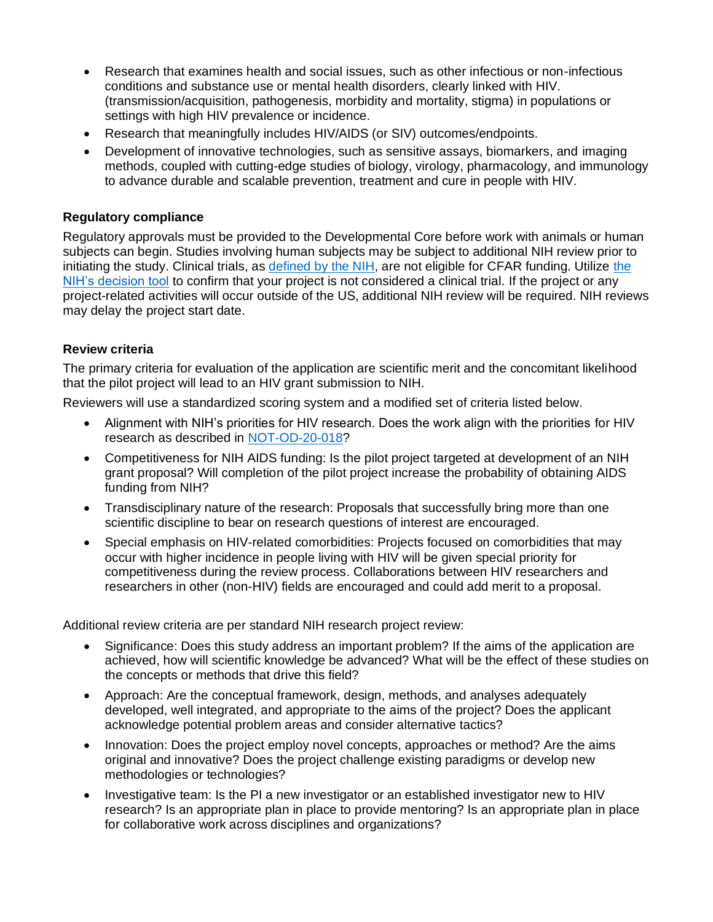- Research that examines health and social issues, such as other infectious or non-infectious conditions and substance use or mental health disorders, clearly linked with HIV. (transmission/acquisition, pathogenesis, morbidity and mortality, stigma) in populations or settings with high HIV prevalence or incidence.
- Research that meaningfully includes HIV/AIDS (or SIV) outcomes/endpoints.
- Development of innovative technologies, such as sensitive assays, biomarkers, and imaging methods, coupled with cutting-edge studies of biology, virology, pharmacology, and immunology to advance durable and scalable prevention, treatment and cure in people with HIV.

## **Regulatory compliance**

Regulatory approvals must be provided to the Developmental Core before work with animals or human subjects can begin. Studies involving human subjects may be subject to additional NIH review prior to initiating the study. Clinical trials, as [defined by the NIH,](https://grants.nih.gov/policy/clinical-trials/definition.htm) are not eligible for CFAR funding. Utilize [the](https://grants.nih.gov/ct-decision/index.htm)  [NIH's decision tool](https://grants.nih.gov/ct-decision/index.htm) to confirm that your project is not considered a clinical trial. If the project or any project-related activities will occur outside of the US, additional NIH review will be required. NIH reviews may delay the project start date.

## **Review criteria**

The primary criteria for evaluation of the application are scientific merit and the concomitant likelihood that the pilot project will lead to an HIV grant submission to NIH.

Reviewers will use a standardized scoring system and a modified set of criteria listed below.

- Alignment with NIH's priorities for HIV research. Does the work align with the priorities for HIV research as described in [NOT-OD-20-018?](https://grants.nih.gov/grants/guide/notice-files/NOT-OD-20-018.html)
- Competitiveness for NIH AIDS funding: Is the pilot project targeted at development of an NIH grant proposal? Will completion of the pilot project increase the probability of obtaining AIDS funding from NIH?
- Transdisciplinary nature of the research: Proposals that successfully bring more than one scientific discipline to bear on research questions of interest are encouraged.
- Special emphasis on HIV-related comorbidities: Projects focused on comorbidities that may occur with higher incidence in people living with HIV will be given special priority for competitiveness during the review process. Collaborations between HIV researchers and researchers in other (non-HIV) fields are encouraged and could add merit to a proposal.

Additional review criteria are per standard NIH research project review:

- Significance: Does this study address an important problem? If the aims of the application are achieved, how will scientific knowledge be advanced? What will be the effect of these studies on the concepts or methods that drive this field?
- Approach: Are the conceptual framework, design, methods, and analyses adequately developed, well integrated, and appropriate to the aims of the project? Does the applicant acknowledge potential problem areas and consider alternative tactics?
- Innovation: Does the project employ novel concepts, approaches or method? Are the aims original and innovative? Does the project challenge existing paradigms or develop new methodologies or technologies?
- Investigative team: Is the PI a new investigator or an established investigator new to HIV research? Is an appropriate plan in place to provide mentoring? Is an appropriate plan in place for collaborative work across disciplines and organizations?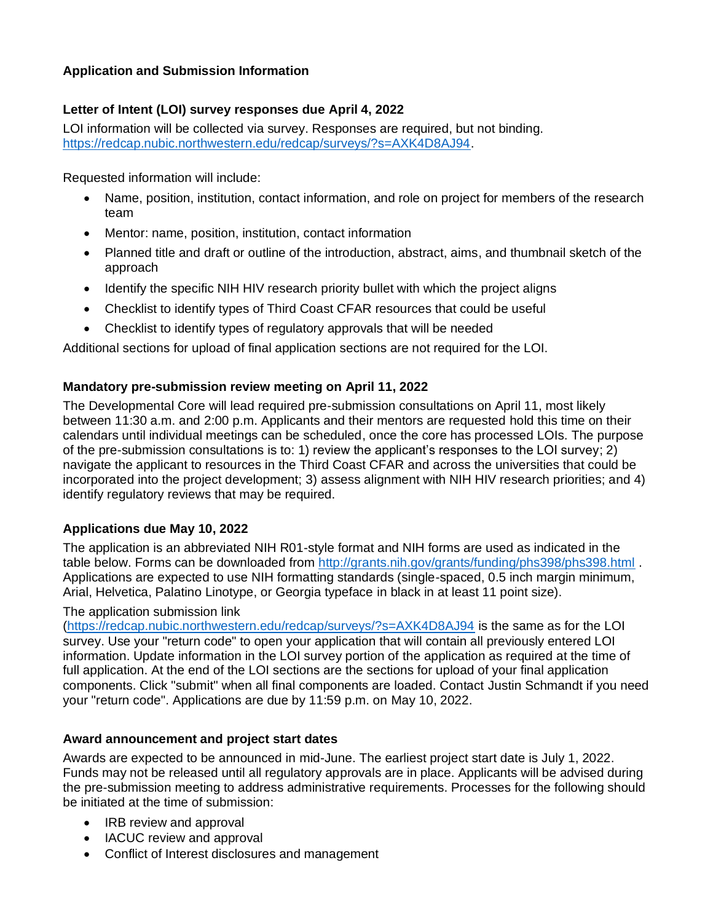# **Application and Submission Information**

# **Letter of Intent (LOI) survey responses due April 4, 2022**

LOI information will be collected via survey. Responses are required, but not binding. [https://redcap.nubic.northwestern.edu/redcap/surveys/?s=AXK4D8AJ94.](https://redcap.nubic.northwestern.edu/redcap/surveys/?s=AXK4D8AJ94)

Requested information will include:

- Name, position, institution, contact information, and role on project for members of the research team
- Mentor: name, position, institution, contact information
- Planned title and draft or outline of the introduction, abstract, aims, and thumbnail sketch of the approach
- Identify the specific NIH HIV research priority bullet with which the project aligns
- Checklist to identify types of Third Coast CFAR resources that could be useful
- Checklist to identify types of regulatory approvals that will be needed

Additional sections for upload of final application sections are not required for the LOI.

# **Mandatory pre-submission review meeting on April 11, 2022**

The Developmental Core will lead required pre-submission consultations on April 11, most likely between 11:30 a.m. and 2:00 p.m. Applicants and their mentors are requested hold this time on their calendars until individual meetings can be scheduled, once the core has processed LOIs. The purpose of the pre-submission consultations is to: 1) review the applicant's responses to the LOI survey; 2) navigate the applicant to resources in the Third Coast CFAR and across the universities that could be incorporated into the project development; 3) assess alignment with NIH HIV research priorities; and 4) identify regulatory reviews that may be required.

# **Applications due May 10, 2022**

The application is an abbreviated NIH R01-style format and NIH forms are used as indicated in the table below. Forms can be downloaded from<http://grants.nih.gov/grants/funding/phs398/phs398.html>. Applications are expected to use NIH formatting standards (single-spaced, 0.5 inch margin minimum, Arial, Helvetica, Palatino Linotype, or Georgia typeface in black in at least 11 point size).

## The application submission link

[\(https://redcap.nubic.northwestern.edu/redcap/surveys/?s=AXK4D8AJ94](https://redcap.nubic.northwestern.edu/redcap/surveys/?s=AXK4D8AJ94) is the same as for the LOI survey. Use your "return code" to open your application that will contain all previously entered LOI information. Update information in the LOI survey portion of the application as required at the time of full application. At the end of the LOI sections are the sections for upload of your final application components. Click "submit" when all final components are loaded. Contact Justin Schmandt if you need your "return code". Applications are due by 11:59 p.m. on May 10, 2022.

# **Award announcement and project start dates**

Awards are expected to be announced in mid-June. The earliest project start date is July 1, 2022. Funds may not be released until all regulatory approvals are in place. Applicants will be advised during the pre-submission meeting to address administrative requirements. Processes for the following should be initiated at the time of submission:

- IRB review and approval
- IACUC review and approval
- Conflict of Interest disclosures and management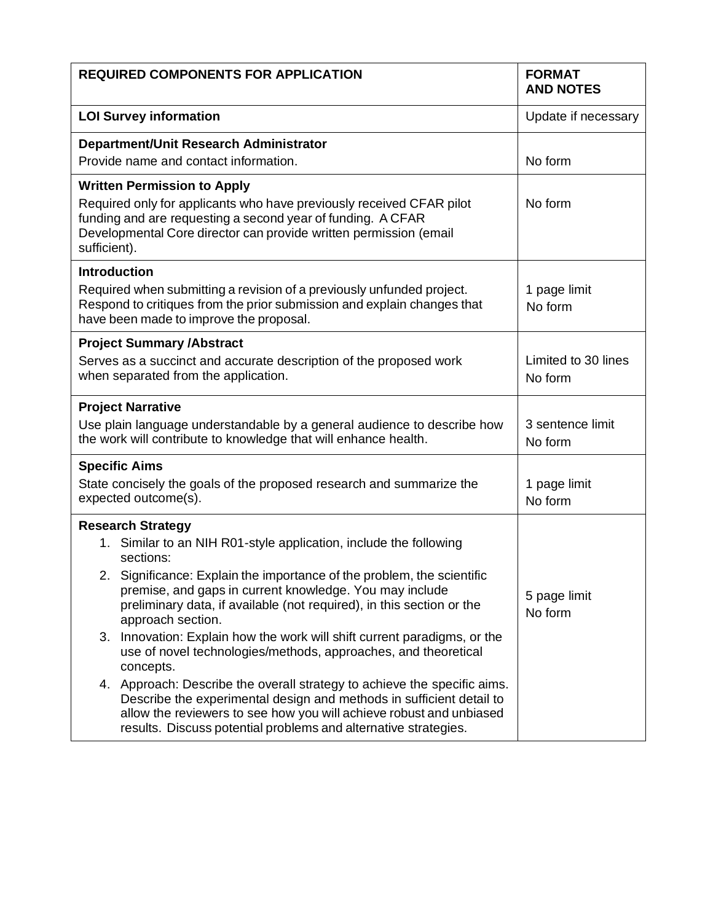| <b>REQUIRED COMPONENTS FOR APPLICATION</b>                                                                                                                                                                                                                                                 | <b>FORMAT</b><br><b>AND NOTES</b> |
|--------------------------------------------------------------------------------------------------------------------------------------------------------------------------------------------------------------------------------------------------------------------------------------------|-----------------------------------|
| <b>LOI Survey information</b>                                                                                                                                                                                                                                                              | Update if necessary               |
| Department/Unit Research Administrator                                                                                                                                                                                                                                                     |                                   |
| Provide name and contact information.                                                                                                                                                                                                                                                      | No form                           |
| <b>Written Permission to Apply</b><br>Required only for applicants who have previously received CFAR pilot<br>funding and are requesting a second year of funding. A CFAR<br>Developmental Core director can provide written permission (email<br>sufficient).                             | No form                           |
| <b>Introduction</b><br>Required when submitting a revision of a previously unfunded project.<br>Respond to critiques from the prior submission and explain changes that<br>have been made to improve the proposal.                                                                         | 1 page limit<br>No form           |
| <b>Project Summary /Abstract</b><br>Serves as a succinct and accurate description of the proposed work<br>when separated from the application.                                                                                                                                             | Limited to 30 lines<br>No form    |
| <b>Project Narrative</b><br>Use plain language understandable by a general audience to describe how<br>the work will contribute to knowledge that will enhance health.                                                                                                                     | 3 sentence limit<br>No form       |
| <b>Specific Aims</b><br>State concisely the goals of the proposed research and summarize the<br>expected outcome(s).                                                                                                                                                                       | 1 page limit<br>No form           |
| <b>Research Strategy</b>                                                                                                                                                                                                                                                                   |                                   |
| 1. Similar to an NIH R01-style application, include the following<br>sections:                                                                                                                                                                                                             |                                   |
| 2. Significance: Explain the importance of the problem, the scientific<br>premise, and gaps in current knowledge. You may include<br>preliminary data, if available (not required), in this section or the<br>approach section.                                                            | 5 page limit<br>No form           |
| Innovation: Explain how the work will shift current paradigms, or the<br>3.<br>use of novel technologies/methods, approaches, and theoretical<br>concepts.                                                                                                                                 |                                   |
| 4. Approach: Describe the overall strategy to achieve the specific aims.<br>Describe the experimental design and methods in sufficient detail to<br>allow the reviewers to see how you will achieve robust and unbiased<br>results. Discuss potential problems and alternative strategies. |                                   |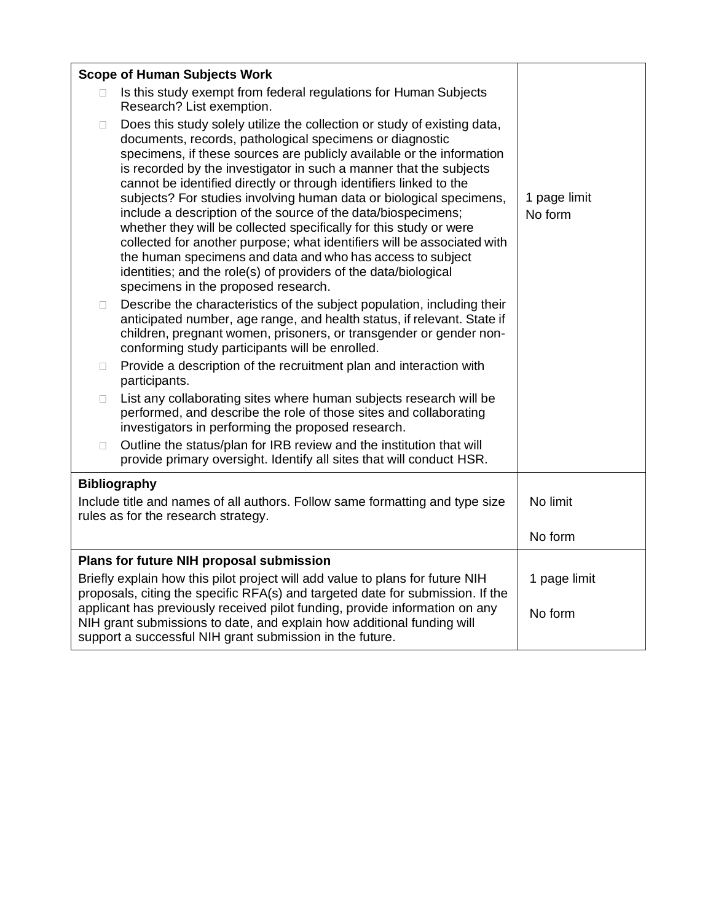|                                                                                                                                                                                                                   | <b>Scope of Human Subjects Work</b>                                                                                                                                                                                                                                                                                                                                                                                                                                                                                                                                                                                                                                                                                                                                                                                        |                         |  |
|-------------------------------------------------------------------------------------------------------------------------------------------------------------------------------------------------------------------|----------------------------------------------------------------------------------------------------------------------------------------------------------------------------------------------------------------------------------------------------------------------------------------------------------------------------------------------------------------------------------------------------------------------------------------------------------------------------------------------------------------------------------------------------------------------------------------------------------------------------------------------------------------------------------------------------------------------------------------------------------------------------------------------------------------------------|-------------------------|--|
| П.                                                                                                                                                                                                                | Is this study exempt from federal regulations for Human Subjects<br>Research? List exemption.                                                                                                                                                                                                                                                                                                                                                                                                                                                                                                                                                                                                                                                                                                                              |                         |  |
| □                                                                                                                                                                                                                 | Does this study solely utilize the collection or study of existing data,<br>documents, records, pathological specimens or diagnostic<br>specimens, if these sources are publicly available or the information<br>is recorded by the investigator in such a manner that the subjects<br>cannot be identified directly or through identifiers linked to the<br>subjects? For studies involving human data or biological specimens,<br>include a description of the source of the data/biospecimens;<br>whether they will be collected specifically for this study or were<br>collected for another purpose; what identifiers will be associated with<br>the human specimens and data and who has access to subject<br>identities; and the role(s) of providers of the data/biological<br>specimens in the proposed research. | 1 page limit<br>No form |  |
| O.                                                                                                                                                                                                                | Describe the characteristics of the subject population, including their<br>anticipated number, age range, and health status, if relevant. State if<br>children, pregnant women, prisoners, or transgender or gender non-<br>conforming study participants will be enrolled.                                                                                                                                                                                                                                                                                                                                                                                                                                                                                                                                                |                         |  |
| $\Box$                                                                                                                                                                                                            | Provide a description of the recruitment plan and interaction with<br>participants.                                                                                                                                                                                                                                                                                                                                                                                                                                                                                                                                                                                                                                                                                                                                        |                         |  |
| П.                                                                                                                                                                                                                | List any collaborating sites where human subjects research will be<br>performed, and describe the role of those sites and collaborating<br>investigators in performing the proposed research.                                                                                                                                                                                                                                                                                                                                                                                                                                                                                                                                                                                                                              |                         |  |
| $\Box$                                                                                                                                                                                                            | Outline the status/plan for IRB review and the institution that will<br>provide primary oversight. Identify all sites that will conduct HSR.                                                                                                                                                                                                                                                                                                                                                                                                                                                                                                                                                                                                                                                                               |                         |  |
|                                                                                                                                                                                                                   | <b>Bibliography</b>                                                                                                                                                                                                                                                                                                                                                                                                                                                                                                                                                                                                                                                                                                                                                                                                        |                         |  |
| Include title and names of all authors. Follow same formatting and type size<br>rules as for the research strategy.                                                                                               |                                                                                                                                                                                                                                                                                                                                                                                                                                                                                                                                                                                                                                                                                                                                                                                                                            | No limit                |  |
|                                                                                                                                                                                                                   |                                                                                                                                                                                                                                                                                                                                                                                                                                                                                                                                                                                                                                                                                                                                                                                                                            | No form                 |  |
| Plans for future NIH proposal submission                                                                                                                                                                          |                                                                                                                                                                                                                                                                                                                                                                                                                                                                                                                                                                                                                                                                                                                                                                                                                            |                         |  |
| Briefly explain how this pilot project will add value to plans for future NIH<br>proposals, citing the specific RFA(s) and targeted date for submission. If the                                                   |                                                                                                                                                                                                                                                                                                                                                                                                                                                                                                                                                                                                                                                                                                                                                                                                                            | 1 page limit            |  |
| applicant has previously received pilot funding, provide information on any<br>NIH grant submissions to date, and explain how additional funding will<br>support a successful NIH grant submission in the future. |                                                                                                                                                                                                                                                                                                                                                                                                                                                                                                                                                                                                                                                                                                                                                                                                                            | No form                 |  |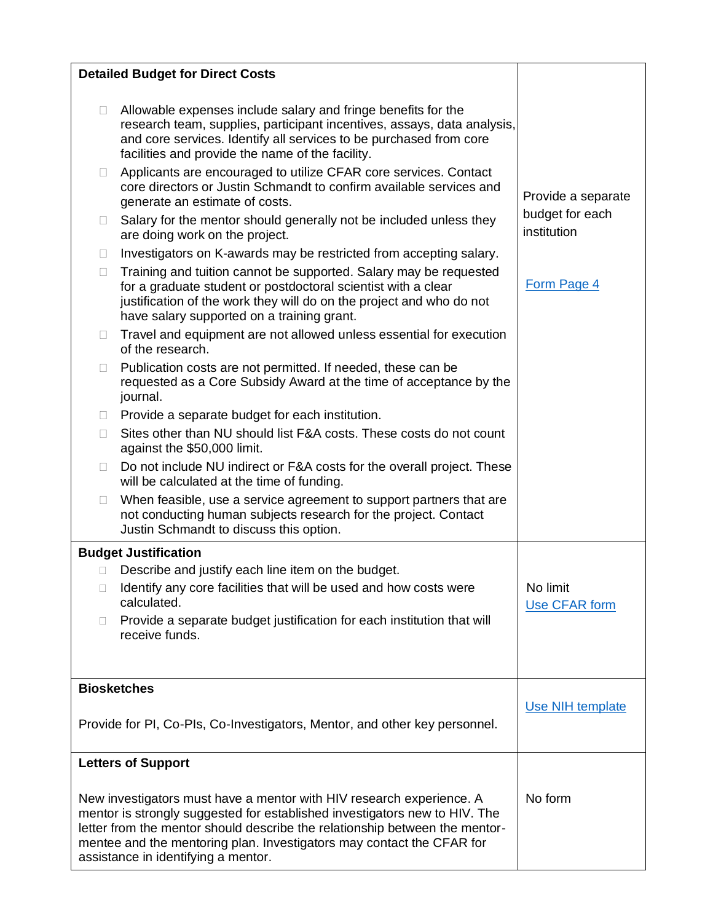| <b>Detailed Budget for Direct Costs</b>                                                                                                                                                                                                                                                                                                           |                                                                                                                                                                                                                                                                                                                                                                                                               |                                |  |  |  |
|---------------------------------------------------------------------------------------------------------------------------------------------------------------------------------------------------------------------------------------------------------------------------------------------------------------------------------------------------|---------------------------------------------------------------------------------------------------------------------------------------------------------------------------------------------------------------------------------------------------------------------------------------------------------------------------------------------------------------------------------------------------------------|--------------------------------|--|--|--|
| П<br>Ш                                                                                                                                                                                                                                                                                                                                            | Allowable expenses include salary and fringe benefits for the<br>research team, supplies, participant incentives, assays, data analysis,<br>and core services. Identify all services to be purchased from core<br>facilities and provide the name of the facility.<br>Applicants are encouraged to utilize CFAR core services. Contact<br>core directors or Justin Schmandt to confirm available services and | Provide a separate             |  |  |  |
| П                                                                                                                                                                                                                                                                                                                                                 | generate an estimate of costs.<br>Salary for the mentor should generally not be included unless they<br>are doing work on the project.                                                                                                                                                                                                                                                                        | budget for each<br>institution |  |  |  |
| П                                                                                                                                                                                                                                                                                                                                                 | Investigators on K-awards may be restricted from accepting salary.                                                                                                                                                                                                                                                                                                                                            |                                |  |  |  |
| $\Box$                                                                                                                                                                                                                                                                                                                                            | Training and tuition cannot be supported. Salary may be requested<br>for a graduate student or postdoctoral scientist with a clear<br>justification of the work they will do on the project and who do not<br>have salary supported on a training grant.                                                                                                                                                      | Form Page 4                    |  |  |  |
| П                                                                                                                                                                                                                                                                                                                                                 | Travel and equipment are not allowed unless essential for execution<br>of the research.                                                                                                                                                                                                                                                                                                                       |                                |  |  |  |
| $\Box$                                                                                                                                                                                                                                                                                                                                            | Publication costs are not permitted. If needed, these can be<br>requested as a Core Subsidy Award at the time of acceptance by the<br>journal.                                                                                                                                                                                                                                                                |                                |  |  |  |
| $\Box$                                                                                                                                                                                                                                                                                                                                            | Provide a separate budget for each institution.                                                                                                                                                                                                                                                                                                                                                               |                                |  |  |  |
| П                                                                                                                                                                                                                                                                                                                                                 | Sites other than NU should list F&A costs. These costs do not count<br>against the \$50,000 limit.                                                                                                                                                                                                                                                                                                            |                                |  |  |  |
| П                                                                                                                                                                                                                                                                                                                                                 | Do not include NU indirect or F&A costs for the overall project. These<br>will be calculated at the time of funding.                                                                                                                                                                                                                                                                                          |                                |  |  |  |
| П                                                                                                                                                                                                                                                                                                                                                 | When feasible, use a service agreement to support partners that are<br>not conducting human subjects research for the project. Contact<br>Justin Schmandt to discuss this option.                                                                                                                                                                                                                             |                                |  |  |  |
|                                                                                                                                                                                                                                                                                                                                                   | <b>Budget Justification</b>                                                                                                                                                                                                                                                                                                                                                                                   |                                |  |  |  |
| 0                                                                                                                                                                                                                                                                                                                                                 | Describe and justify each line item on the budget.                                                                                                                                                                                                                                                                                                                                                            |                                |  |  |  |
| O                                                                                                                                                                                                                                                                                                                                                 | Identify any core facilities that will be used and how costs were<br>calculated.                                                                                                                                                                                                                                                                                                                              | No limit<br>Use CFAR form      |  |  |  |
| O                                                                                                                                                                                                                                                                                                                                                 | Provide a separate budget justification for each institution that will<br>receive funds.                                                                                                                                                                                                                                                                                                                      |                                |  |  |  |
| <b>Biosketches</b>                                                                                                                                                                                                                                                                                                                                |                                                                                                                                                                                                                                                                                                                                                                                                               |                                |  |  |  |
| Provide for PI, Co-PIs, Co-Investigators, Mentor, and other key personnel.                                                                                                                                                                                                                                                                        |                                                                                                                                                                                                                                                                                                                                                                                                               | Use NIH template               |  |  |  |
| <b>Letters of Support</b>                                                                                                                                                                                                                                                                                                                         |                                                                                                                                                                                                                                                                                                                                                                                                               |                                |  |  |  |
| New investigators must have a mentor with HIV research experience. A<br>mentor is strongly suggested for established investigators new to HIV. The<br>letter from the mentor should describe the relationship between the mentor-<br>mentee and the mentoring plan. Investigators may contact the CFAR for<br>assistance in identifying a mentor. |                                                                                                                                                                                                                                                                                                                                                                                                               | No form                        |  |  |  |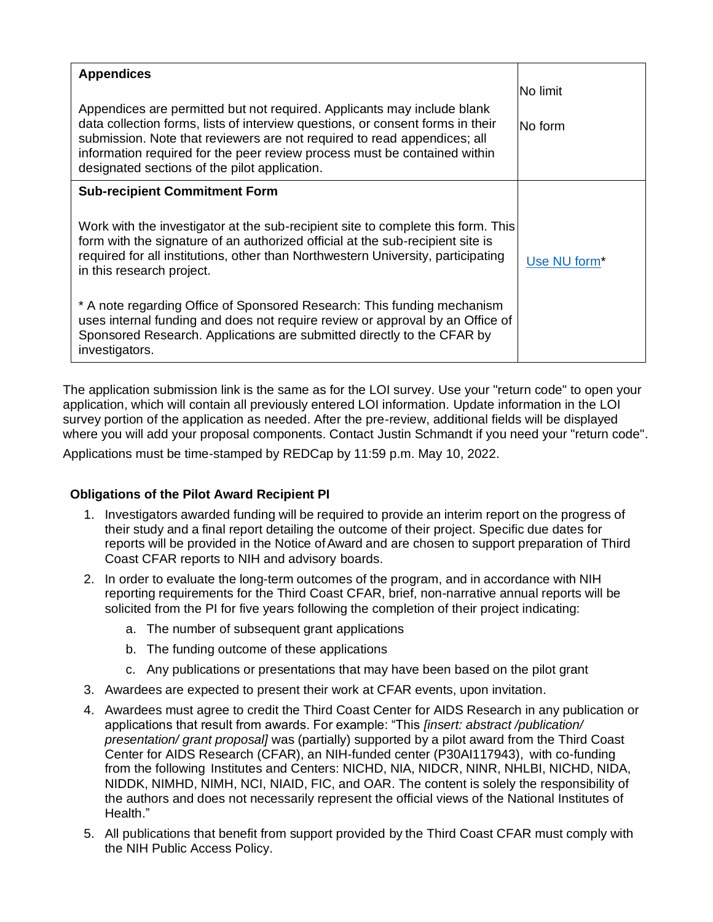| <b>Appendices</b><br>Appendices are permitted but not required. Applicants may include blank<br>data collection forms, lists of interview questions, or consent forms in their<br>submission. Note that reviewers are not required to read appendices; all<br>information required for the peer review process must be contained within<br>designated sections of the pilot application. | No limit<br>lNo form     |
|------------------------------------------------------------------------------------------------------------------------------------------------------------------------------------------------------------------------------------------------------------------------------------------------------------------------------------------------------------------------------------------|--------------------------|
| <b>Sub-recipient Commitment Form</b><br>Work with the investigator at the sub-recipient site to complete this form. This<br>form with the signature of an authorized official at the sub-recipient site is<br>required for all institutions, other than Northwestern University, participating<br>in this research project.                                                              | Use NU form <sup>*</sup> |
| * A note regarding Office of Sponsored Research: This funding mechanism<br>uses internal funding and does not require review or approval by an Office of<br>Sponsored Research. Applications are submitted directly to the CFAR by<br>investigators.                                                                                                                                     |                          |

The application submission link is the same as for the LOI survey. Use your "return code" to open your application, which will contain all previously entered LOI information. Update information in the LOI survey portion of the application as needed. After the pre-review, additional fields will be displayed where you will add your proposal components. Contact Justin Schmandt if you need your "return code".

Applications must be time-stamped by REDCap by 11:59 p.m. May 10, 2022.

## **Obligations of the Pilot Award Recipient PI**

- 1. Investigators awarded funding will be required to provide an interim report on the progress of their study and a final report detailing the outcome of their project. Specific due dates for reports will be provided in the Notice of Award and are chosen to support preparation of Third Coast CFAR reports to NIH and advisory boards.
- 2. In order to evaluate the long-term outcomes of the program, and in accordance with NIH reporting requirements for the Third Coast CFAR, brief, non-narrative annual reports will be solicited from the PI for five years following the completion of their project indicating:
	- a. The number of subsequent grant applications
	- b. The funding outcome of these applications
	- c. Any publications or presentations that may have been based on the pilot grant
- 3. Awardees are expected to present their work at CFAR events, upon invitation.
- 4. Awardees must agree to credit the Third Coast Center for AIDS Research in any publication or applications that result from awards. For example: "This *[insert: abstract /publication/ presentation/ grant proposal]* was (partially) supported by a pilot award from the Third Coast Center for AIDS Research (CFAR), an NIH-funded center (P30AI117943), with co-funding from the following Institutes and Centers: NICHD, NIA, NIDCR, NINR, NHLBI, NICHD, NIDA, NIDDK, NIMHD, NIMH, NCI, NIAID, FIC, and OAR. The content is solely the responsibility of the authors and does not necessarily represent the official views of the National Institutes of Health."
- 5. All publications that benefit from support provided by the Third Coast CFAR must comply with the NIH Public Access Policy.